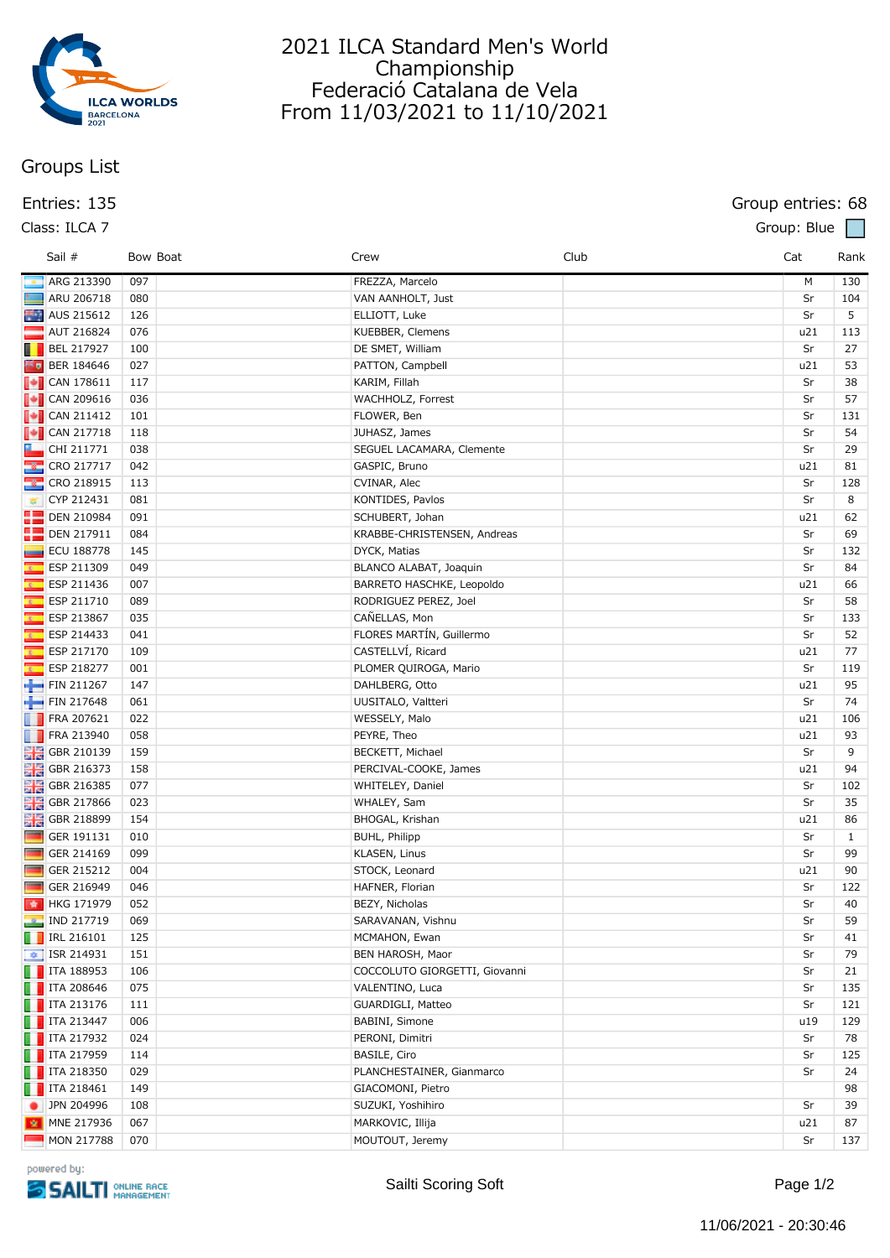

# 2021 ILCA Standard Men's World Championship Federació Catalana de Vela From 11/03/2021 to 11/10/2021

# **Groups List**

### **Entries: 135 Group entries: 68**

| Class: ILCA 7 | Group: Blue |
|---------------|-------------|
|               |             |

|                         | Sail #                                                                            | Bow Boat   | Crew                                      | Club | Cat       | Rank               |
|-------------------------|-----------------------------------------------------------------------------------|------------|-------------------------------------------|------|-----------|--------------------|
|                         | ARG 213390                                                                        | 097        | FREZZA, Marcelo                           |      | M         | 130                |
|                         | ARU 206718                                                                        | 080        | VAN AANHOLT, Just                         |      | Sr        | 104                |
|                         | AUS 215612                                                                        | 126        | ELLIOTT, Luke                             |      | Sr        | 5                  |
|                         | <b>AUT 216824</b>                                                                 | 076        | KUEBBER, Clemens                          |      | u21       | 113                |
|                         | $\blacksquare$ BEL 217927                                                         | 100        | DE SMET, William                          |      | Sr        | 27                 |
| 55 p                    | BER 184646                                                                        | 027        | PATTON, Campbell                          |      | u21       | 53                 |
|                         | $\begin{array}{ c c c }\n\hline\n\hline\n\hline\n\hline\n\end{array}$ CAN 178611  | 117        | KARIM, Fillah                             |      | Sr        | 38                 |
|                         | $\begin{array}{ c c c }\n\hline \text{•} & \text{CAN 209616}\n\hline \end{array}$ | 036        | WACHHOLZ, Forrest                         |      | Sr        | 57                 |
|                         | $\begin{bmatrix} \bullet \\ \bullet \end{bmatrix}$ CAN 211412                     | 101        | FLOWER, Ben                               |      | Sr        | 131                |
|                         | $\begin{array}{ c c c }\n\hline\n\end{array}$ CAN 217718                          | 118        | JUHASZ, James                             |      | Sr        | 54                 |
|                         | $\Box$ CHI 211771                                                                 | 038        | SEGUEL LACAMARA, Clemente                 |      | Sr        | 29                 |
|                         | $\frac{1}{2}$ CRO 217717                                                          | 042        | GASPIC, Bruno                             |      | u21       | 81                 |
|                         | CRO 218915                                                                        | 113        | CVINAR, Alec                              |      | Sr        | 128                |
| 寧                       | CYP 212431                                                                        | 081        | KONTIDES, Pavlos                          |      | Sr        | 8                  |
|                         | <b>DEN 210984</b>                                                                 | 091        | SCHUBERT, Johan                           |      | u21       | 62                 |
|                         | <b>DEN 217911</b>                                                                 | 084        | KRABBE-CHRISTENSEN, Andreas               |      | Sr        | 69                 |
|                         | <b>ECU 188778</b>                                                                 | 145        | DYCK, Matias                              |      | Sr        | 132                |
| x.                      | ESP 211309                                                                        | 049        | BLANCO ALABAT, Joaquin                    |      | Sr        | 84                 |
| $\overline{\mathbf{z}}$ | ESP 211436                                                                        | 007        | BARRETO HASCHKE, Leopoldo                 |      | u21       | 66                 |
| ß.                      | ESP 211710                                                                        | 089        | RODRIGUEZ PEREZ, Joel                     |      | Sr        | 58                 |
| $\overline{\mathbf{z}}$ | ESP 213867                                                                        | 035        | CAÑELLAS, Mon                             |      | Sr        | 133                |
| R.                      | ESP 214433                                                                        | 041        | FLORES MARTÍN, Guillermo                  |      | Sr        | 52                 |
| ß.                      | ESP 217170                                                                        | 109        | CASTELLVÍ, Ricard                         |      | u21       | 77                 |
| ß.                      | ESP 218277                                                                        | 001        | PLOMER QUIROGA, Mario                     |      | Sr        | 119                |
|                         | FIN 211267                                                                        | 147        | DAHLBERG, Otto                            |      | u21       | 95                 |
|                         | FIN 217648                                                                        | 061        | UUSITALO, Valtteri                        |      | Sr        | 74                 |
|                         | FRA 207621                                                                        | 022        | WESSELY, Malo                             |      | u21       | 106                |
|                         | <b>FRA 213940</b>                                                                 | 058        | PEYRE, Theo                               |      | u21       | 93                 |
|                         |                                                                                   | 159        | BECKETT, Michael                          |      | Sr        | 9                  |
|                         | <b>He</b> GBR 210139                                                              | 158        |                                           |      | u21       | 94                 |
|                         | <b>DE GBR 216373</b>                                                              | 077        | PERCIVAL-COOKE, James<br>WHITELEY, Daniel |      | Sr        | 102                |
|                         | <b>DE GBR 216385</b>                                                              | 023        | WHALEY, Sam                               |      | Sr        | 35                 |
|                         | <b>CBR</b> 217866                                                                 | 154        | BHOGAL, Krishan                           |      | u21       | 86                 |
| <b>Separate</b>         | <b>DE GBR 218899</b><br>GER 191131                                                | 010        | BUHL, Philipp                             |      | Sr        |                    |
| <b>The State</b>        | GER 214169                                                                        | 099        |                                           |      | Sr        | $\mathbf{1}$<br>99 |
| <b>The Second</b>       |                                                                                   |            | KLASEN, Linus                             |      |           |                    |
|                         | GER 215212<br>GER 216949                                                          | 004<br>046 | STOCK, Leonard                            |      | u21<br>Sr | 90<br>122          |
|                         | ★ HKG 171979                                                                      |            | HAFNER, Florian                           |      | Sr        |                    |
|                         |                                                                                   | 052        | BEZY, Nicholas                            |      |           | 40                 |
|                         | <b>P</b> IND 217719                                                               | 069        | SARAVANAN, Vishnu                         |      | Sr        | 59                 |
|                         | $\blacksquare$ IRL 216101                                                         | 125        | MCMAHON, Ewan                             |      | Sr        | 41                 |
|                         | $\frac{1}{2}$ ISR 214931                                                          | 151        | BEN HAROSH, Maor                          |      | Sr        | 79                 |
|                         | $\blacksquare$ ITA 188953                                                         | 106        | COCCOLUTO GIORGETTI, Giovanni             |      | Sr        | 21                 |
|                         | $\blacksquare$ ITA 208646                                                         | 075        | VALENTINO, Luca                           |      | Sr        | 135                |
|                         | $\blacksquare$ ITA 213176                                                         | 111        | GUARDIGLI, Matteo                         |      | Sr        | 121                |
|                         | $\blacksquare$ ITA 213447                                                         | 006        | BABINI, Simone                            |      | u19       | 129                |
|                         | $\blacksquare$ ITA 217932                                                         | 024        | PERONI, Dimitri                           |      | Sr        | 78                 |
|                         | $\blacksquare$ ITA 217959                                                         | 114        | BASILE, Ciro                              |      | Sr        | 125                |
|                         | $\blacksquare$ ITA 218350                                                         | 029        | PLANCHESTAINER, Gianmarco                 |      | Sr        | 24                 |
|                         | $\blacksquare$ ITA 218461                                                         | 149        | GIACOMONI, Pietro                         |      |           | 98                 |
| ٠                       | JPN 204996                                                                        | 108        | SUZUKI, Yoshihiro                         |      | Sr        | 39                 |
|                         | MNE 217936                                                                        | 067        | MARKOVIC, Illija                          |      | u21       | 87                 |
|                         | MON 217788                                                                        | 070        | MOUTOUT, Jeremy                           |      | Sr        | 137                |